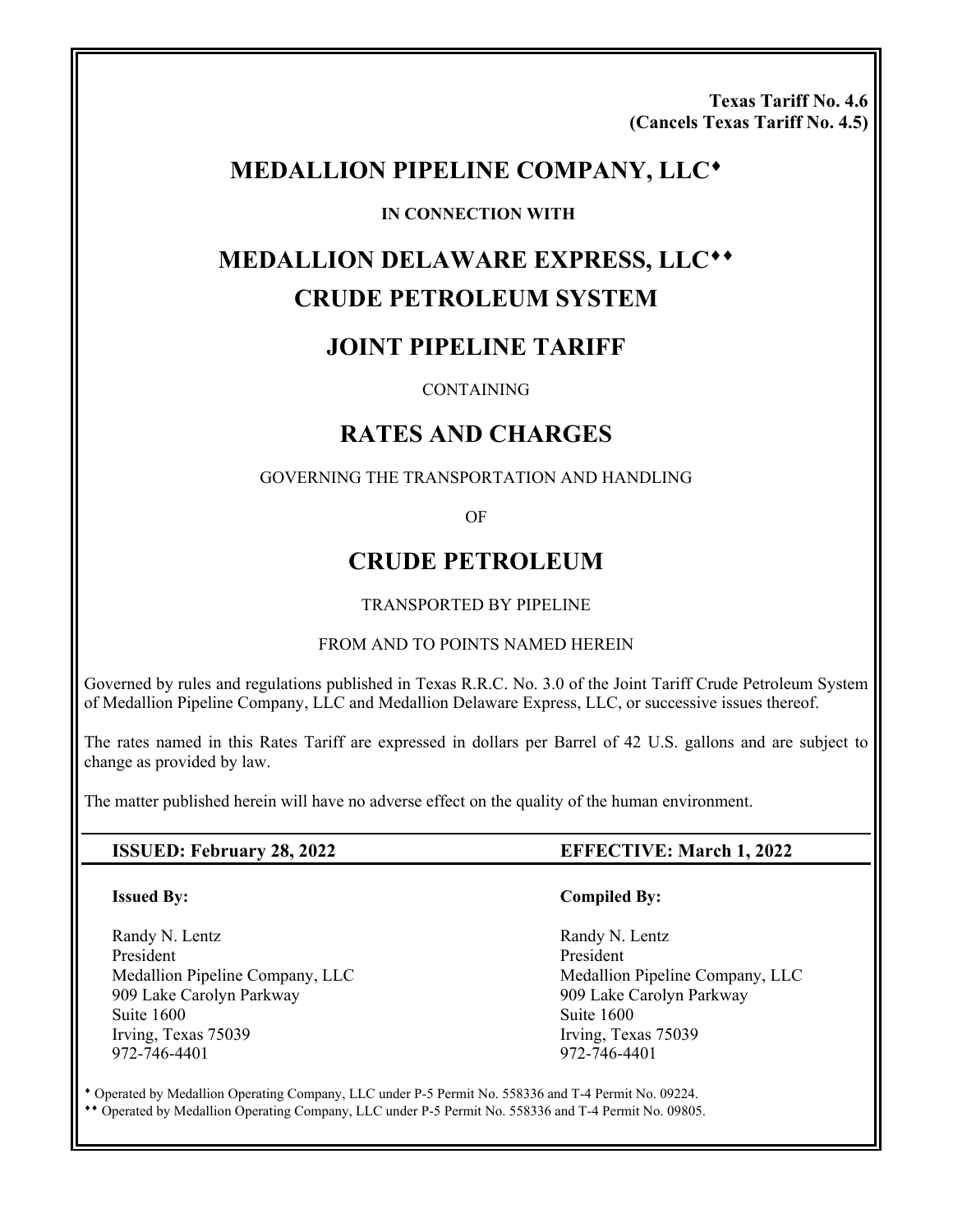**Texas Tariff No. 4.6 (Cancels Texas Tariff No. 4.5)** 

# **MEDALLION PIPELINE COMPANY, LLC**

#### **IN CONNECTION WITH**

# **MEDALLION DELAWARE EXPRESS, LLC CRUDE PETROLEUM SYSTEM**

# **JOINT PIPELINE TARIFF**

#### CONTAINING

# **RATES AND CHARGES**

#### GOVERNING THE TRANSPORTATION AND HANDLING

OF

# **CRUDE PETROLEUM**

#### TRANSPORTED BY PIPELINE

#### FROM AND TO POINTS NAMED HEREIN

Governed by rules and regulations published in Texas R.R.C. No. 3.0 of the Joint Tariff Crude Petroleum System of Medallion Pipeline Company, LLC and Medallion Delaware Express, LLC, or successive issues thereof.

The rates named in this Rates Tariff are expressed in dollars per Barrel of 42 U.S. gallons and are subject to change as provided by law.

The matter published herein will have no adverse effect on the quality of the human environment.

#### **ISSUED: February 28, 2022 EFFECTIVE: March 1, 2022**

#### **Issued By:**

Randy N. Lentz President Medallion Pipeline Company, LLC 909 Lake Carolyn Parkway Suite 1600 Irving, Texas 75039 972-746-4401

#### **Compiled By:**

 Randy N. Lentz President Medallion Pipeline Company, LLC 909 Lake Carolyn Parkway Suite 1600 Irving, Texas 75039 972-746-4401

 Operated by Medallion Operating Company, LLC under P-5 Permit No. 558336 and T-4 Permit No. 09224. Operated by Medallion Operating Company, LLC under P-5 Permit No. 558336 and T-4 Permit No. 09805.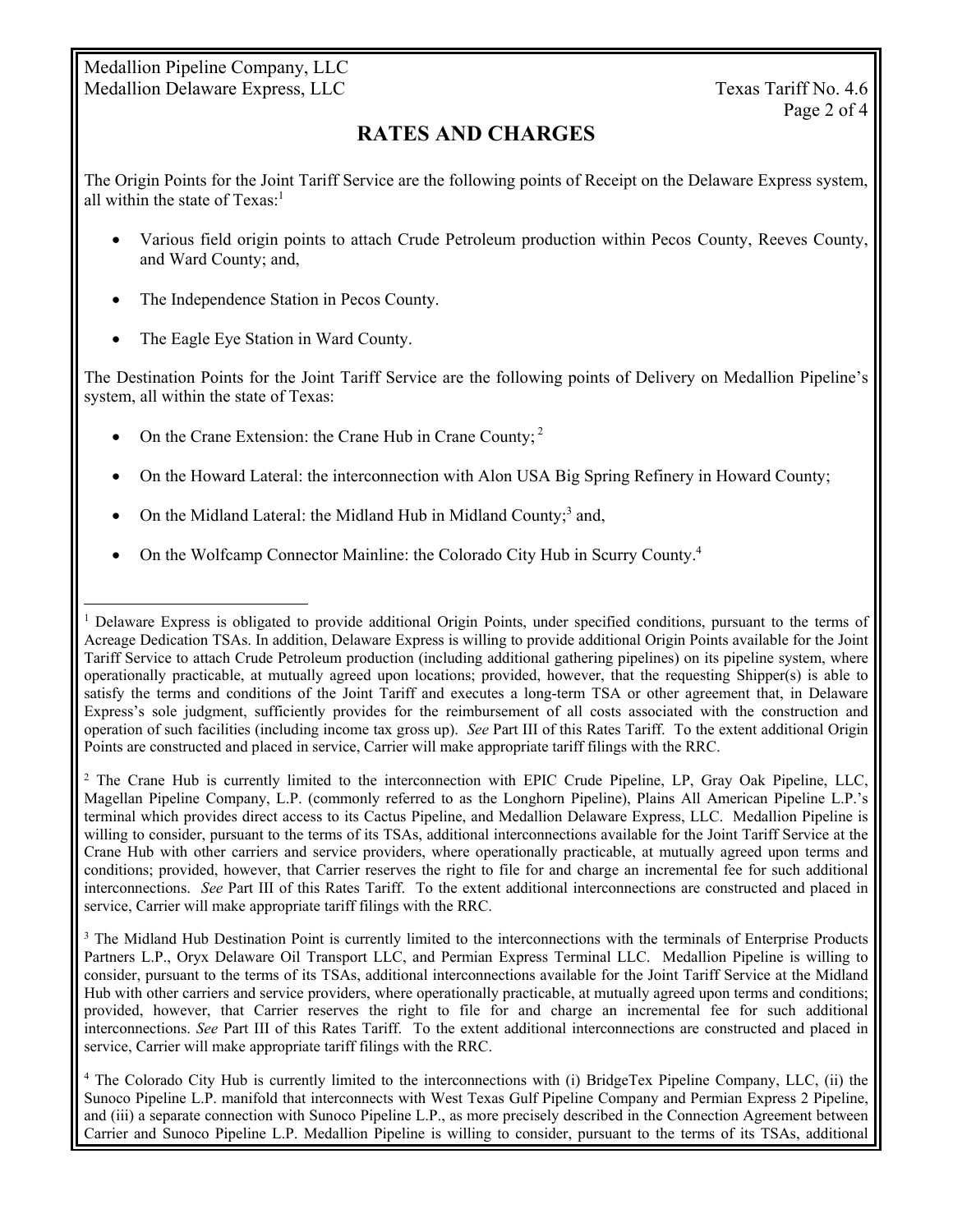Medallion Pipeline Company, LLC Medallion Delaware Express, LLC Texas Tariff No. 4.6

# **RATES AND CHARGES**

The Origin Points for the Joint Tariff Service are the following points of Receipt on the Delaware Express system, all within the state of  $Texas<sup>1</sup>$ 

- Various field origin points to attach Crude Petroleum production within Pecos County, Reeves County, and Ward County; and,
- The Independence Station in Pecos County.
- The Eagle Eye Station in Ward County.

 $\overline{a}$ 

The Destination Points for the Joint Tariff Service are the following points of Delivery on Medallion Pipeline's system, all within the state of Texas:

- On the Crane Extension: the Crane Hub in Crane County;<sup>2</sup>
- On the Howard Lateral: the interconnection with Alon USA Big Spring Refinery in Howard County;
- On the Midland Lateral: the Midland Hub in Midland County; $3$  and,
- On the Wolfcamp Connector Mainline: the Colorado City Hub in Scurry County.<sup>4</sup>

<sup>2</sup> The Crane Hub is currently limited to the interconnection with EPIC Crude Pipeline, LP, Gray Oak Pipeline, LLC, Magellan Pipeline Company, L.P. (commonly referred to as the Longhorn Pipeline), Plains All American Pipeline L.P.'s terminal which provides direct access to its Cactus Pipeline, and Medallion Delaware Express, LLC. Medallion Pipeline is willing to consider, pursuant to the terms of its TSAs, additional interconnections available for the Joint Tariff Service at the Crane Hub with other carriers and service providers, where operationally practicable, at mutually agreed upon terms and conditions; provided, however, that Carrier reserves the right to file for and charge an incremental fee for such additional interconnections. *See* Part III of this Rates Tariff. To the extent additional interconnections are constructed and placed in service, Carrier will make appropriate tariff filings with the RRC.

<sup>3</sup> The Midland Hub Destination Point is currently limited to the interconnections with the terminals of Enterprise Products Partners L.P., Oryx Delaware Oil Transport LLC, and Permian Express Terminal LLC. Medallion Pipeline is willing to consider, pursuant to the terms of its TSAs, additional interconnections available for the Joint Tariff Service at the Midland Hub with other carriers and service providers, where operationally practicable, at mutually agreed upon terms and conditions; provided, however, that Carrier reserves the right to file for and charge an incremental fee for such additional interconnections. *See* Part III of this Rates Tariff. To the extent additional interconnections are constructed and placed in service, Carrier will make appropriate tariff filings with the RRC.

4 The Colorado City Hub is currently limited to the interconnections with (i) BridgeTex Pipeline Company, LLC, (ii) the Sunoco Pipeline L.P. manifold that interconnects with West Texas Gulf Pipeline Company and Permian Express 2 Pipeline, and (iii) a separate connection with Sunoco Pipeline L.P., as more precisely described in the Connection Agreement between Carrier and Sunoco Pipeline L.P. Medallion Pipeline is willing to consider, pursuant to the terms of its TSAs, additional

<sup>&</sup>lt;sup>1</sup> Delaware Express is obligated to provide additional Origin Points, under specified conditions, pursuant to the terms of Acreage Dedication TSAs. In addition, Delaware Express is willing to provide additional Origin Points available for the Joint Tariff Service to attach Crude Petroleum production (including additional gathering pipelines) on its pipeline system, where operationally practicable, at mutually agreed upon locations; provided, however, that the requesting Shipper(s) is able to satisfy the terms and conditions of the Joint Tariff and executes a long-term TSA or other agreement that, in Delaware Express's sole judgment, sufficiently provides for the reimbursement of all costs associated with the construction and operation of such facilities (including income tax gross up). *See* Part III of this Rates Tariff. To the extent additional Origin Points are constructed and placed in service, Carrier will make appropriate tariff filings with the RRC.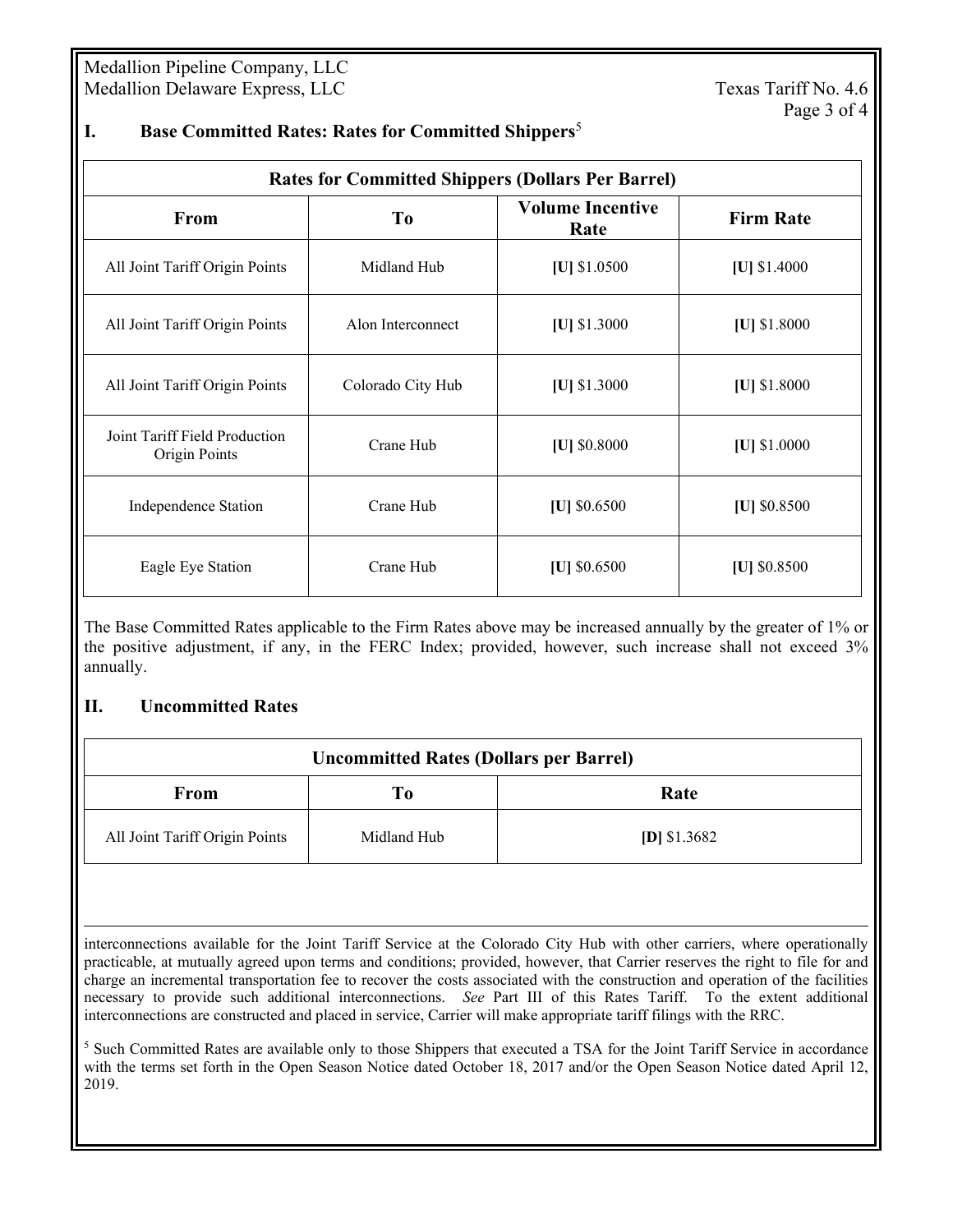Medallion Pipeline Company, LLC Medallion Delaware Express, LLC Texas Tariff No. 4.6

| <b>Rates for Committed Shippers (Dollars Per Barrel)</b> |                   |                                 |                  |  |
|----------------------------------------------------------|-------------------|---------------------------------|------------------|--|
| From                                                     | T <sub>0</sub>    | <b>Volume Incentive</b><br>Rate | <b>Firm Rate</b> |  |
| All Joint Tariff Origin Points                           | Midland Hub       | $ U $ \$1.0500                  | [U] \$1.4000     |  |
| All Joint Tariff Origin Points                           | Alon Interconnect | $[U]$ \$1.3000                  | $ U $ \$1.8000   |  |
| All Joint Tariff Origin Points                           | Colorado City Hub | $ U $ \$1.3000                  | $ U $ \$1.8000   |  |
| Joint Tariff Field Production<br>Origin Points           | Crane Hub         | [U] \$0.8000                    | [U] \$1.0000     |  |
| Independence Station                                     | Crane Hub         | $ U $ \$0.6500                  | $ U $ \$0.8500   |  |
| Eagle Eye Station                                        | Crane Hub         | $ U $ \$0.6500                  | [U] \$0.8500     |  |

### **I. Base Committed Rates: Rates for Committed Shippers**<sup>5</sup>

The Base Committed Rates applicable to the Firm Rates above may be increased annually by the greater of 1% or the positive adjustment, if any, in the FERC Index; provided, however, such increase shall not exceed 3% annually.

## **II. Uncommitted Rates**

| <b>Uncommitted Rates (Dollars per Barrel)</b> |             |               |  |  |
|-----------------------------------------------|-------------|---------------|--|--|
| From                                          | Tо          | Rate          |  |  |
| All Joint Tariff Origin Points                | Midland Hub | [D] $$1.3682$ |  |  |

 interconnections available for the Joint Tariff Service at the Colorado City Hub with other carriers, where operationally practicable, at mutually agreed upon terms and conditions; provided, however, that Carrier reserves the right to file for and charge an incremental transportation fee to recover the costs associated with the construction and operation of the facilities necessary to provide such additional interconnections. *See* Part III of this Rates Tariff. To the extent additional interconnections are constructed and placed in service, Carrier will make appropriate tariff filings with the RRC.

<sup>5</sup> Such Committed Rates are available only to those Shippers that executed a TSA for the Joint Tariff Service in accordance with the terms set forth in the Open Season Notice dated October 18, 2017 and/or the Open Season Notice dated April 12, 2019.